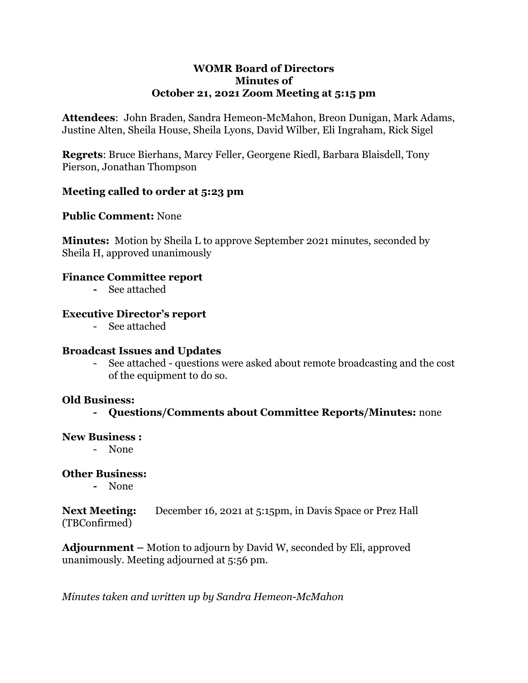## **WOMR Board of Directors Minutes of October 21, 2021 Zoom Meeting at 5:15 pm**

**Attendees**: John Braden, Sandra Hemeon-McMahon, Breon Dunigan, Mark Adams, Justine Alten, Sheila House, Sheila Lyons, David Wilber, Eli Ingraham, Rick Sigel

**Regrets**: Bruce Bierhans, Marcy Feller, Georgene Riedl, Barbara Blaisdell, Tony Pierson, Jonathan Thompson

## **Meeting called to order at 5:23 pm**

## **Public Comment:** None

**Minutes:** Motion by Sheila L to approve September 2021 minutes, seconded by Sheila H, approved unanimously

## **Finance Committee report**

**-** See attached

## **Executive Director's report**

- See attached

## **Broadcast Issues and Updates**

- See attached - questions were asked about remote broadcasting and the cost of the equipment to do so.

## **Old Business:**

**- Questions/Comments about Committee Reports/Minutes:** none

## **New Business :**

- None

## **Other Business:**

**-** None

**Next Meeting:** December 16, 2021 at 5:15pm, in Davis Space or Prez Hall (TBConfirmed)

**Adjournment –** Motion to adjourn by David W, seconded by Eli, approved unanimously. Meeting adjourned at 5:56 pm.

*Minutes taken and written up by Sandra Hemeon-McMahon*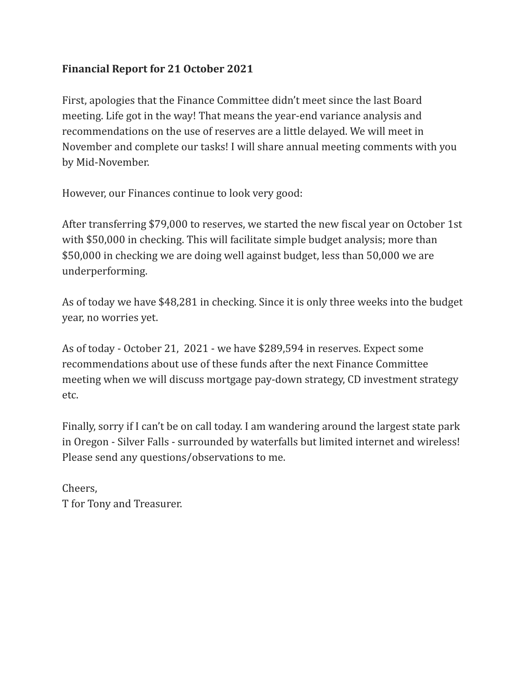## **Financial Report for 21 October 2021**

First, apologies that the Finance Committee didn't meet since the last Board meeting. Life got in the way! That means the year-end variance analysis and recommendations on the use of reserves are a little delayed. We will meet in November and complete our tasks! I will share annual meeting comments with you by Mid-November.

However, our Finances continue to look very good:

After transferring \$79,000 to reserves, we started the new fiscal year on October 1st with \$50,000 in checking. This will facilitate simple budget analysis; more than \$50,000 in checking we are doing well against budget, less than 50,000 we are underperforming.

As of today we have \$48,281 in checking. Since it is only three weeks into the budget year, no worries yet.

As of today - October 21, 2021 - we have \$289,594 in reserves. Expect some recommendations about use of these funds after the next Finance Committee meeting when we will discuss mortgage pay-down strategy, CD investment strategy etc.

Finally, sorry if I can't be on call today. I am wandering around the largest state park in Oregon - Silver Falls - surrounded by waterfalls but limited internet and wireless! Please send any questions/observations to me.

Cheers, T for Tony and Treasurer.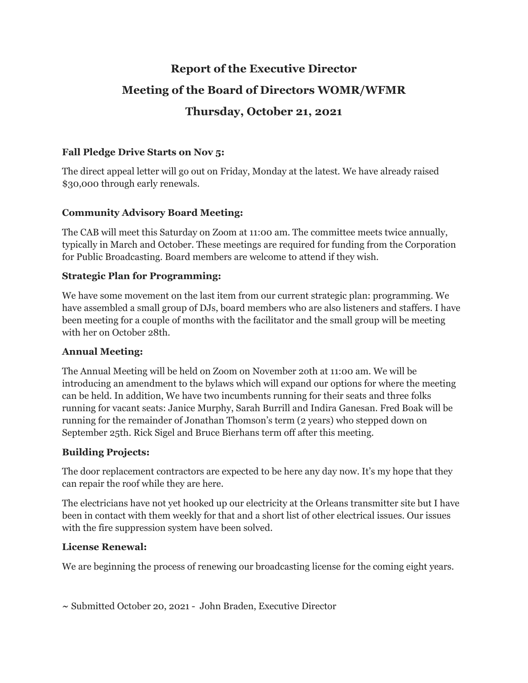# **Report of the Executive Director Meeting of the Board of Directors WOMR/WFMR Thursday, October 21, 2021**

## **Fall Pledge Drive Starts on Nov 5:**

The direct appeal letter will go out on Friday, Monday at the latest. We have already raised \$30,000 through early renewals.

## **Community Advisory Board Meeting:**

The CAB will meet this Saturday on Zoom at 11:00 am. The committee meets twice annually, typically in March and October. These meetings are required for funding from the Corporation for Public Broadcasting. Board members are welcome to attend if they wish.

## **Strategic Plan for Programming:**

We have some movement on the last item from our current strategic plan: programming. We have assembled a small group of DJs, board members who are also listeners and staffers. I have been meeting for a couple of months with the facilitator and the small group will be meeting with her on October 28th.

## **Annual Meeting:**

The Annual Meeting will be held on Zoom on November 2oth at 11:00 am. We will be introducing an amendment to the bylaws which will expand our options for where the meeting can be held. In addition, We have two incumbents running for their seats and three folks running for vacant seats: Janice Murphy, Sarah Burrill and Indira Ganesan. Fred Boak will be running for the remainder of Jonathan Thomson's term (2 years) who stepped down on September 25th. Rick Sigel and Bruce Bierhans term off after this meeting.

## **Building Projects:**

The door replacement contractors are expected to be here any day now. It's my hope that they can repair the roof while they are here.

The electricians have not yet hooked up our electricity at the Orleans transmitter site but I have been in contact with them weekly for that and a short list of other electrical issues. Our issues with the fire suppression system have been solved.

## **License Renewal:**

We are beginning the process of renewing our broadcasting license for the coming eight years.

**~** Submitted October 20, 2021 - John Braden, Executive Director